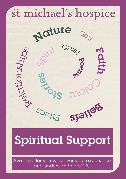

# E<sub>x</sub> Spiritual Support

Available for you whatever your experience and understanding of life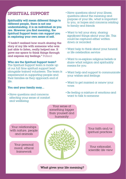## SPIRITUAL SUPPORT

Spirituality will mean different things to different people, there is not one understanding, it is as individual as you are. However you find meaning, the Spiritual Support team can support you in exploring your own sense of self.

"I hadn't realised how much sharing the story of my life with someone who was just able to listen, really helped me. It gave me space to think things through and express my feelings." Patient

#### Who are the Spiritual Support team?

The Spiritual Support team is made up of our full time spiritual support lead alongside trained volunteers. The team is experienced in supporting people and their families as they approach end of life.

#### You and your family may...

• Have questions and concerns affecting your sense of comfort and wellbeing

- Have questions about your illness, questions about the meaning and purpose of your life, what is important to you, or hopes and concerns relating to family and friends
- Want to tell your story, sharing significant things about your life. This could be captured either written down or recorded
- Want help to think about your funeral or life celebration service
- Want to re-explore religious beliefs or share what religion and spirituality means for you
- Want help and support to communicate your wishes and feelings
- Want to get married or renew your vows
- Be feeling a mixture of emotions and want to talk to someone

Your sense of something bigger than yourself and humanity

Your relationships with nature, people and animals

> Your personal moral, ethical framework



Your faith and/or spiritual practices

Your rationalist, scientific life view

What gives your life meaning?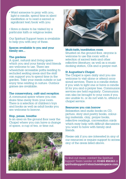- Want someone to pray with you, light a candle, spend time in silent meditation or to read a sacred or significant text/book with you
- Have a desire to be visited by a particular faith or religious lealer.

Our Spiritual Support team is available to help you with any of these.

#### Spaces available to you and your family are...

#### The gardens

A quiet, natural and living space which you and your family and friends are welcome to use. There are wheelchair accessible paths leading to secluded seating areas and the staff can support you to spend time in the garden. Take your meals outside or just enjoy time relating in nature. Outdoor games are available.

#### The conservatory, café and reception

A communal space where you can share time away from your room. There is a selection of children's toys and books as well as adult books you are welcome to borrow.

#### Stop, pause, breathe

Is an area on the ground floor near the Chapel where you can have a change of space, a cup of tea, or time out.





#### Multi-faith/meditation room

Situated on the ground floor, anyone is welcome to use this room with a selection of sacred texts and other reflective literature; as well as a music docking station, CDs and a prayer mat.

#### St Augustine's Chapel

The Chapel is open daily and you are welcome to visit alone or attend occasional services. There is a candle station if you wish to light one or have a candle lit for you and a prayer tree. Communion services are held regularly. Communion can also be brought to your room if you are unable to, or do not wish to, attend  $\alpha$ chapel service.

#### Resources you can borrow

Relaxation and audio books on CD, picture, story and poetry books, colouring materials, clay, prayer books, reflective readings, conversation cards which may help with difficult discussions you want to have with family and friends.

Please ask if you are interested in any of our resources or require support to access any of the areas listed above.

To find out more, contact the Spiritual Support Team Leader on 01424 456363 or spiritualsupport@stmichaelshopsice.com.